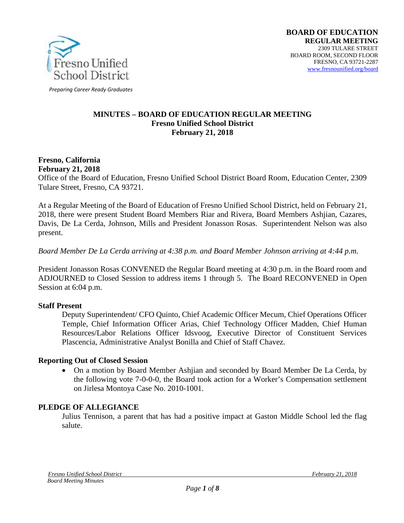

*Preparing Career Ready Graduates*

#### **MINUTES – BOARD OF EDUCATION REGULAR MEETING Fresno Unified School District February 21, 2018**

#### **Fresno, California February 21, 2018**

Office of the Board of Education, Fresno Unified School District Board Room, Education Center, 2309 Tulare Street, Fresno, CA 93721.

At a Regular Meeting of the Board of Education of Fresno Unified School District, held on February 21, 2018, there were present Student Board Members Riar and Rivera, Board Members Ashjian, Cazares, Davis, De La Cerda, Johnson, Mills and President Jonasson Rosas. Superintendent Nelson was also present.

#### *Board Member De La Cerda arriving at 4:38 p.m. and Board Member Johnson arriving at 4:44 p.m.*

President Jonasson Rosas CONVENED the Regular Board meeting at 4:30 p.m. in the Board room and ADJOURNED to Closed Session to address items 1 through 5. The Board RECONVENED in Open Session at 6:04 p.m.

#### **Staff Present**

Deputy Superintendent/ CFO Quinto, Chief Academic Officer Mecum, Chief Operations Officer Temple, Chief Information Officer Arias, Chief Technology Officer Madden, Chief Human Resources/Labor Relations Officer Idsvoog, Executive Director of Constituent Services Plascencia, Administrative Analyst Bonilla and Chief of Staff Chavez.

#### **Reporting Out of Closed Session**

• On a motion by Board Member Ashjian and seconded by Board Member De La Cerda, by the following vote 7-0-0-0, the Board took action for a Worker's Compensation settlement on Jirlesa Montoya Case No. 2010-1001.

#### **PLEDGE OF ALLEGIANCE**

Julius Tennison, a parent that has had a positive impact at Gaston Middle School led the flag salute.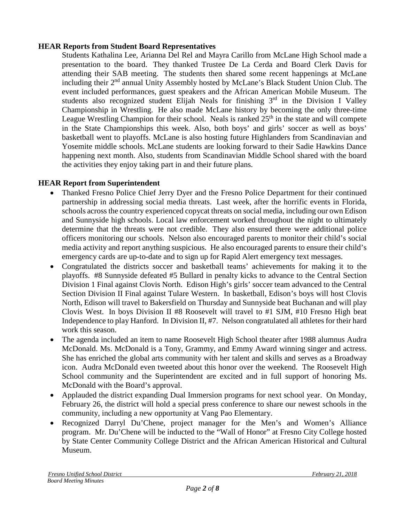## **HEAR Reports from Student Board Representatives**

Students Kathalina Lee, Arianna Del Rel and Mayra Carillo from McLane High School made a presentation to the board. They thanked Trustee De La Cerda and Board Clerk Davis for attending their SAB meeting. The students then shared some recent happenings at McLane including their 2<sup>nd</sup> annual Unity Assembly hosted by McLane's Black Student Union Club. The event included performances, guest speakers and the African American Mobile Museum. The students also recognized student Elijah Neals for finishing  $3<sup>rd</sup>$  in the Division I Valley Championship in Wrestling. He also made McLane history by becoming the only three-time League Wrestling Champion for their school. Neals is ranked  $25<sup>th</sup>$  in the state and will compete in the State Championships this week. Also, both boys' and girls' soccer as well as boys' basketball went to playoffs. McLane is also hosting future Highlanders from Scandinavian and Yosemite middle schools. McLane students are looking forward to their Sadie Hawkins Dance happening next month. Also, students from Scandinavian Middle School shared with the board the activities they enjoy taking part in and their future plans.

## **HEAR Report from Superintendent**

- Thanked Fresno Police Chief Jerry Dyer and the Fresno Police Department for their continued partnership in addressing social media threats. Last week, after the horrific events in Florida, schools across the country experienced copycat threats on social media, including our own Edison and Sunnyside high schools. Local law enforcement worked throughout the night to ultimately determine that the threats were not credible. They also ensured there were additional police officers monitoring our schools. Nelson also encouraged parents to monitor their child's social media activity and report anything suspicious. He also encouraged parents to ensure their child's emergency cards are up-to-date and to sign up for Rapid Alert emergency text messages.
- Congratulated the districts soccer and basketball teams' achievements for making it to the playoffs. #8 Sunnyside defeated #5 Bullard in penalty kicks to advance to the Central Section Division 1 Final against Clovis North. Edison High's girls' soccer team advanced to the Central Section Division II Final against Tulare Western. In basketball, Edison's boys will host Clovis North, Edison will travel to Bakersfield on Thursday and Sunnyside beat Buchanan and will play Clovis West. In boys Division II #8 Roosevelt will travel to #1 SJM, #10 Fresno High beat Independence to play Hanford. In Division II, #7. Nelson congratulated all athletes for their hard work this season.
- The agenda included an item to name Roosevelt High School theater after 1988 alumnus Audra McDonald. Ms. McDonald is a Tony, Grammy, and Emmy Award winning singer and actress. She has enriched the global arts community with her talent and skills and serves as a Broadway icon. Audra McDonald even tweeted about this honor over the weekend. The Roosevelt High School community and the Superintendent are excited and in full support of honoring Ms. McDonald with the Board's approval.
- Applauded the district expanding Dual Immersion programs for next school year. On Monday, February 26, the district will hold a special press conference to share our newest schools in the community, including a new opportunity at Vang Pao Elementary.
- Recognized Darryl Du'Chene, project manager for the Men's and Women's Alliance program. Mr. Du'Chene will be inducted to the "Wall of Honor" at Fresno City College hosted by State Center Community College District and the African American Historical and Cultural Museum.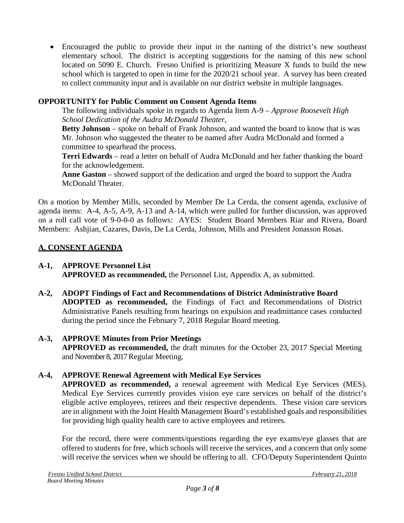• Encouraged the public to provide their input in the naming of the district's new southeast elementary school. The district is accepting suggestions for the naming of this new school located on 5090 E. Church. Fresno Unified is prioritizing Measure X funds to build the new school which is targeted to open in time for the 2020/21 school year. A survey has been created to collect community input and is available on our district website in multiple languages.

# **OPPORTUNITY for Public Comment on Consent Agenda Items**

The following individuals spoke in regards to Agenda Item A-9 – *Approve Roosevelt High School Dedication of the Audra McDonald Theater*,

**Betty Johnson** – spoke on behalf of Frank Johnson, and wanted the board to know that is was Mr. Johnson who suggested the theater to be named after Audra McDonald and formed a committee to spearhead the process.

**Terri Edwards** – read a letter on behalf of Audra McDonald and her father thanking the board for the acknowledgement.

**Anne Gaston** – showed support of the dedication and urged the board to support the Audra McDonald Theater.

On a motion by Member Mills, seconded by Member De La Cerda, the consent agenda, exclusive of agenda items: A-4, A-5, A-9, A-13 and A-14, which were pulled for further discussion, was approved on a roll call vote of 9-0-0-0 as follows: AYES: Student Board Members Riar and Rivera, Board Members: Ashjian, Cazares, Davis, De La Cerda, Johnson, Mills and President Jonasson Rosas.

# **A. CONSENT AGENDA**

# **A-1, APPROVE Personnel List**

**APPROVED as recommended,** the Personnel List, Appendix A, as submitted.

**A-2, ADOPT Findings of Fact and Recommendations of District Administrative Board ADOPTED as recommended,** the Findings of Fact and Recommendations of District Administrative Panels resulting from hearings on expulsion and readmittance cases conducted during the period since the February 7, 2018 Regular Board meeting.

## **A-3, APPROVE Minutes from Prior Meetings**

**APPROVED as recommended,** the draft minutes for the October 23, 2017 Special Meeting and November 8, 2017 Regular Meeting.

## **A-4, APPROVE Renewal Agreement with Medical Eye Services**

**APPROVED as recommended,** a renewal agreement with Medical Eye Services (MES). Medical Eye Services currently provides vision eye care services on behalf of the district's eligible active employees, retirees and their respective dependents. These vision care services are in alignment with the Joint Health Management Board's established goals and responsibilities for providing high quality health care to active employees and retirees.

For the record, there were comments/questions regarding the eye exams/eye glasses that are offered to students for free, which schools will receive the services, and a concern that only some will receive the services when we should be offering to all. CFO/Deputy Superintendent Quinto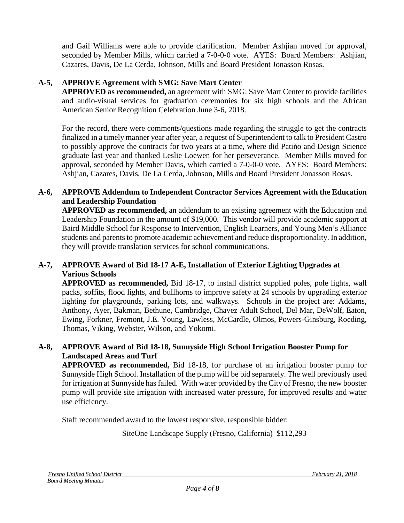and Gail Williams were able to provide clarification. Member Ashjian moved for approval, seconded by Member Mills, which carried a 7-0-0-0 vote. AYES: Board Members: Ashjian, Cazares, Davis, De La Cerda, Johnson, Mills and Board President Jonasson Rosas.

## **A-5, APPROVE Agreement with SMG: Save Mart Center**

**APPROVED as recommended,** an agreement with SMG: Save Mart Center to provide facilities and audio-visual services for graduation ceremonies for six high schools and the African American Senior Recognition Celebration June 3-6, 2018.

For the record, there were comments/questions made regarding the struggle to get the contracts finalized in a timely manner year after year, a request of Superintendent to talk to President Castro to possibly approve the contracts for two years at a time, where did Patiño and Design Science graduate last year and thanked Leslie Loewen for her perseverance. Member Mills moved for approval, seconded by Member Davis, which carried a 7-0-0-0 vote. AYES: Board Members: Ashjian, Cazares, Davis, De La Cerda, Johnson, Mills and Board President Jonasson Rosas.

## **A-6, APPROVE Addendum to Independent Contractor Services Agreement with the Education and Leadership Foundation**

**APPROVED as recommended,** an addendum to an existing agreement with the Education and Leadership Foundation in the amount of \$19,000. This vendor will provide academic support at Baird Middle School for Response to Intervention, English Learners, and Young Men's Alliance students and parents to promote academic achievement and reduce disproportionality. In addition, they will provide translation services for school communications.

## **A-7, APPROVE Award of Bid 18-17 A-E, Installation of Exterior Lighting Upgrades at Various Schools**

**APPROVED as recommended,** Bid 18-17, to install district supplied poles, pole lights, wall packs, soffits, flood lights, and bullhorns to improve safety at 24 schools by upgrading exterior lighting for playgrounds, parking lots, and walkways. Schools in the project are: Addams, Anthony, Ayer, Bakman, Bethune, Cambridge, Chavez Adult School, Del Mar, DeWolf, Eaton, Ewing, Forkner, Fremont, J.E. Young, Lawless, McCardle, Olmos, Powers-Ginsburg, Roeding, Thomas, Viking, Webster, Wilson, and Yokomi.

## **A-8, APPROVE Award of Bid 18-18, Sunnyside High School Irrigation Booster Pump for Landscaped Areas and Turf**

**APPROVED as recommended,** Bid 18-18, for purchase of an irrigation booster pump for Sunnyside High School. Installation of the pump will be bid separately. The well previously used for irrigation at Sunnyside has failed. With water provided by the City of Fresno, the new booster pump will provide site irrigation with increased water pressure, for improved results and water use efficiency.

Staff recommended award to the lowest responsive, responsible bidder:

SiteOne Landscape Supply (Fresno, California) \$112,293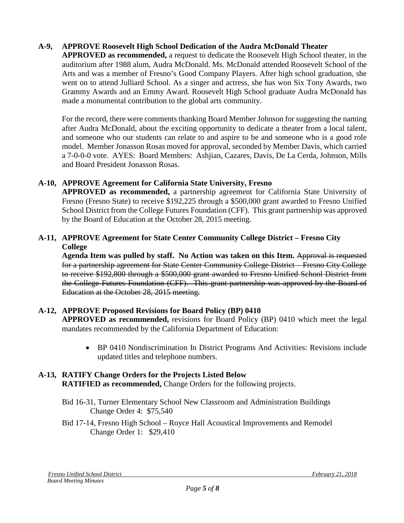## **A-9, APPROVE Roosevelt High School Dedication of the Audra McDonald Theater**

**APPROVED as recommended,** a request to dedicate the Roosevelt High School theater, in the auditorium after 1988 alum, Audra McDonald. Ms. McDonald attended Roosevelt School of the Arts and was a member of Fresno's Good Company Players. After high school graduation, she went on to attend Julliard School. As a singer and actress, she has won Six Tony Awards, two Grammy Awards and an Emmy Award. Roosevelt High School graduate Audra McDonald has made a monumental contribution to the global arts community.

For the record, there were comments thanking Board Member Johnson for suggesting the naming after Audra McDonald, about the exciting opportunity to dedicate a theater from a local talent, and someone who our students can relate to and aspire to be and someone who is a good role model. Member Jonasson Rosas moved for approval, seconded by Member Davis, which carried a 7-0-0-0 vote. AYES: Board Members: Ashjian, Cazares, Davis, De La Cerda, Johnson, Mills and Board President Jonasson Rosas.

## **A-10, APPROVE Agreement for California State University, Fresno**

**APPROVED as recommended,** a partnership agreement for California State University of Fresno (Fresno State) to receive \$192,225 through a \$500,000 grant awarded to Fresno Unified School District from the College Futures Foundation (CFF). This grant partnership was approved by the Board of Education at the October 28, 2015 meeting.

## **A-11, APPROVE Agreement for State Center Community College District – Fresno City College**

**Agenda Item was pulled by staff. No Action was taken on this Item.** Approval is requested for a partnership agreement for State Center Community College District – Fresno City College to receive \$192,800 through a \$500,000 grant awarded to Fresno Unified School District from the College Futures Foundation (CFF). This grant partnership was approved by the Board of Education at the October 28, 2015 meeting.

## **A-12, APPROVE Proposed Revisions for Board Policy (BP) 0410**

**APPROVED as recommended,** revisions for Board Policy (BP) 0410 which meet the legal mandates recommended by the California Department of Education:

• BP 0410 Nondiscrimination In District Programs And Activities: Revisions include updated titles and telephone numbers.

#### **A-13, RATIFY Change Orders for the Projects Listed Below RATIFIED as recommended,** Change Orders for the following projects.

- Bid 16-31, Turner Elementary School New Classroom and Administration Buildings Change Order 4: \$75,540
- Bid 17-14, Fresno High School Royce Hall Acoustical Improvements and Remodel Change Order 1: \$29,410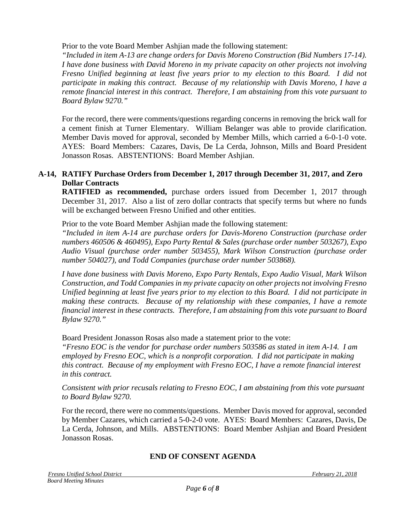Prior to the vote Board Member Ashjian made the following statement:

*"Included in item A-13 are change orders for Davis Moreno Construction (Bid Numbers 17-14). I have done business with David Moreno in my private capacity on other projects not involving Fresno Unified beginning at least five years prior to my election to this Board. I did not participate in making this contract. Because of my relationship with Davis Moreno, I have a remote financial interest in this contract. Therefore, I am abstaining from this vote pursuant to Board Bylaw 9270."*

For the record, there were comments/questions regarding concerns in removing the brick wall for a cement finish at Turner Elementary. William Belanger was able to provide clarification. Member Davis moved for approval, seconded by Member Mills, which carried a 6-0-1-0 vote. AYES: Board Members: Cazares, Davis, De La Cerda, Johnson, Mills and Board President Jonasson Rosas. ABSTENTIONS: Board Member Ashjian.

## **A-14, RATIFY Purchase Orders from December 1, 2017 through December 31, 2017, and Zero Dollar Contracts**

**RATIFIED as recommended,** purchase orders issued from December 1, 2017 through December 31, 2017. Also a list of zero dollar contracts that specify terms but where no funds will be exchanged between Fresno Unified and other entities.

Prior to the vote Board Member Ashjian made the following statement:

*"Included in item A-14 are purchase orders for Davis-Moreno Construction (purchase order numbers 460506 & 460495), Expo Party Rental & Sales (purchase order number 503267), Expo Audio Visual (purchase order number 503455), Mark Wilson Construction (purchase order number 504027), and Todd Companies (purchase order number 503868).*

*I have done business with Davis Moreno, Expo Party Rentals, Expo Audio Visual, Mark Wilson Construction, and Todd Companies in my private capacity on other projects not involving Fresno Unified beginning at least five years prior to my election to this Board. I did not participate in making these contracts. Because of my relationship with these companies, I have a remote financial interest in these contracts. Therefore, I am abstaining from this vote pursuant to Board Bylaw 9270."*

Board President Jonasson Rosas also made a statement prior to the vote:

*"Fresno EOC is the vendor for purchase order numbers 503586 as stated in item A-14. I am employed by Fresno EOC, which is a nonprofit corporation. I did not participate in making this contract. Because of my employment with Fresno EOC, I have a remote financial interest in this contract.*

*Consistent with prior recusals relating to Fresno EOC, I am abstaining from this vote pursuant to Board Bylaw 9270.*

For the record, there were no comments/questions. Member Davis moved for approval, seconded by Member Cazares, which carried a 5-0-2-0 vote. AYES: Board Members: Cazares, Davis, De La Cerda, Johnson, and Mills. ABSTENTIONS: Board Member Ashjian and Board President Jonasson Rosas.

## **END OF CONSENT AGENDA**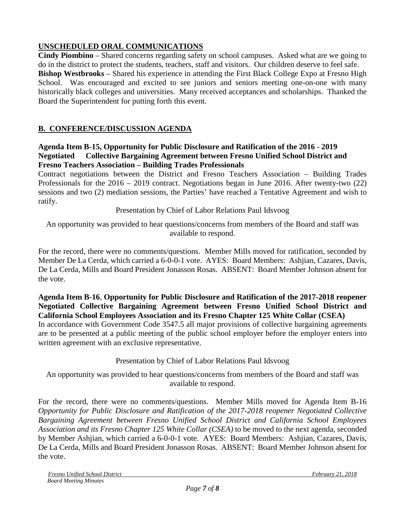# **UNSCHEDULED ORAL COMMUNICATIONS**

**Cindy Piombino** – Shared concerns regarding safety on school campuses. Asked what are we going to do in the district to protect the students, teachers, staff and visitors. Our children deserve to feel safe. **Bishop Westbrooks** – Shared his experience in attending the First Black College Expo at Fresno High School. Was encouraged and excited to see juniors and seniors meeting one-on-one with many historically black colleges and universities. Many received acceptances and scholarships. Thanked the Board the Superintendent for putting forth this event.

# **B. CONFERENCE/DISCUSSION AGENDA**

#### **Agenda Item B-15, Opportunity for Public Disclosure and Ratification of the 2016 - 2019 Negotiated Collective Bargaining Agreement between Fresno Unified School District and Fresno Teachers Association – Building Trades Professionals**

Contract negotiations between the District and Fresno Teachers Association – Building Trades Professionals for the 2016 – 2019 contract. Negotiations began in June 2016. After twenty-two (22) sessions and two (2) mediation sessions, the Parties' have reached a Tentative Agreement and wish to ratify.

Presentation by Chief of Labor Relations Paul Idsvoog

An opportunity was provided to hear questions/concerns from members of the Board and staff was available to respond.

For the record, there were no comments/questions. Member Mills moved for ratification, seconded by Member De La Cerda, which carried a 6-0-0-1 vote. AYES: Board Members: Ashjian, Cazares, Davis, De La Cerda, Mills and Board President Jonasson Rosas. ABSENT: Board Member Johnson absent for the vote.

## **Agenda Item B-16**, **Opportunity for Public Disclosure and Ratification of the 2017-2018 reopener Negotiated Collective Bargaining Agreement between Fresno Unified School District and California School Employees Association and its Fresno Chapter 125 White Collar (CSEA)**

In accordance with Government Code 3547.5 all major provisions of collective bargaining agreements are to be presented at a public meeting of the public school employer before the employer enters into written agreement with an exclusive representative.

## Presentation by Chief of Labor Relations Paul Idsvoog

An opportunity was provided to hear questions/concerns from members of the Board and staff was available to respond.

For the record, there were no comments/questions. Member Mills moved for Agenda Item B-16 *Opportunity for Public Disclosure and Ratification of the 2017-2018 reopener Negotiated Collective Bargaining Agreement between Fresno Unified School District and California School Employees Association and its Fresno Chapter 125 White Collar (CSEA)* to be moved to the next agenda*,* seconded by Member Ashjian, which carried a 6-0-0-1 vote. AYES: Board Members: Ashjian, Cazares, Davis, De La Cerda, Mills and Board President Jonasson Rosas. ABSENT: Board Member Johnson absent for the vote.